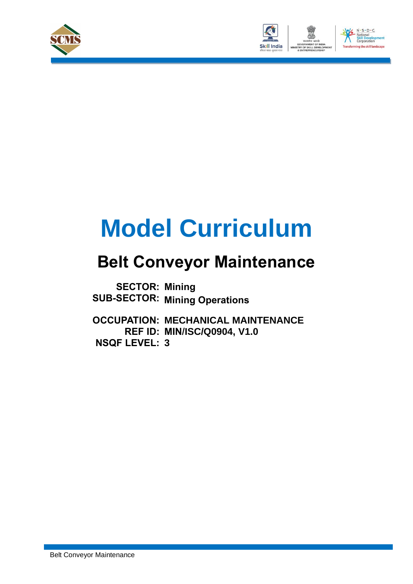



# **Model Curriculum**

### **Belt Conveyor Maintenance**

**SECTOR: Mining SUB-SECTOR: Mining Operations**

**OCCUPATION: MECHANICAL MAINTENANCE REF ID: MIN/ISC/Q0904, V1.0 NSQF LEVEL: 3**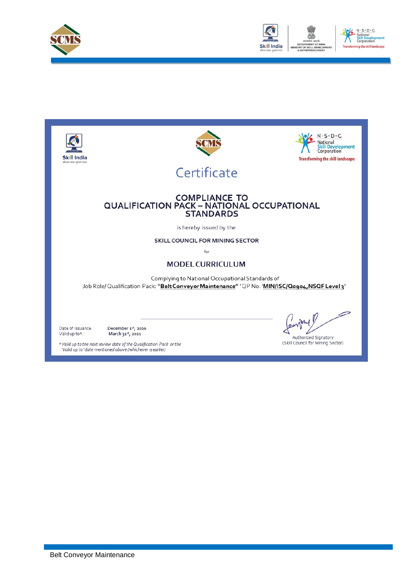



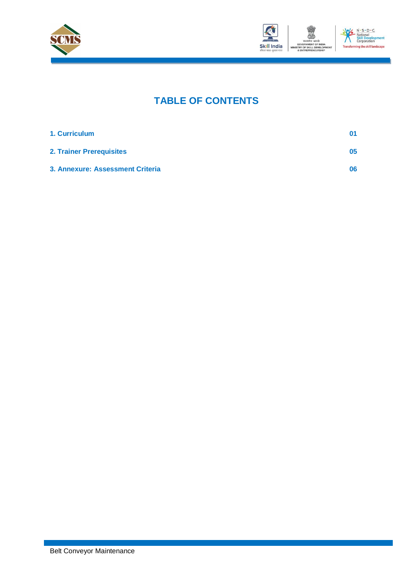



### **TABLE OF CONTENTS**

| 1. Curriculum                    | 01 |
|----------------------------------|----|
| <b>2. Trainer Prerequisites</b>  | 05 |
| 3. Annexure: Assessment Criteria | 06 |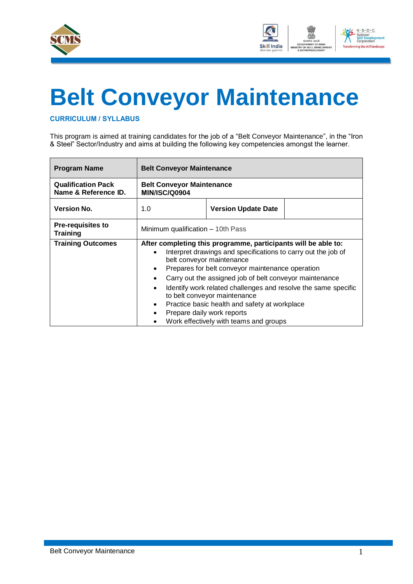



## **Belt Conveyor Maintenance**

<span id="page-3-0"></span>**CURRICULUM / SYLLABUS**

This program is aimed at training candidates for the job of a "Belt Conveyor Maintenance", in the "Iron & Steel" Sector/Industry and aims at building the following key competencies amongst the learner.

| <b>Program Name</b>                               | <b>Belt Conveyor Maintenance</b>                                                                                                                                                                                                                                                                                                                                                                                                                                                                                                                           |  |  |  |  |  |
|---------------------------------------------------|------------------------------------------------------------------------------------------------------------------------------------------------------------------------------------------------------------------------------------------------------------------------------------------------------------------------------------------------------------------------------------------------------------------------------------------------------------------------------------------------------------------------------------------------------------|--|--|--|--|--|
| <b>Qualification Pack</b><br>Name & Reference ID. | <b>Belt Conveyor Maintenance</b><br><b>MIN/ISC/Q0904</b>                                                                                                                                                                                                                                                                                                                                                                                                                                                                                                   |  |  |  |  |  |
| <b>Version No.</b>                                | 1.0<br><b>Version Update Date</b>                                                                                                                                                                                                                                                                                                                                                                                                                                                                                                                          |  |  |  |  |  |
| <b>Pre-requisites to</b><br><b>Training</b>       | Minimum qualification - 10th Pass                                                                                                                                                                                                                                                                                                                                                                                                                                                                                                                          |  |  |  |  |  |
| <b>Training Outcomes</b>                          | After completing this programme, participants will be able to:<br>Interpret drawings and specifications to carry out the job of<br>$\bullet$<br>belt conveyor maintenance<br>Prepares for belt conveyor maintenance operation<br>$\bullet$<br>Carry out the assigned job of belt conveyor maintenance<br>Identify work related challenges and resolve the same specific<br>$\bullet$<br>to belt conveyor maintenance<br>Practice basic health and safety at workplace<br>$\bullet$<br>Prepare daily work reports<br>Work effectively with teams and groups |  |  |  |  |  |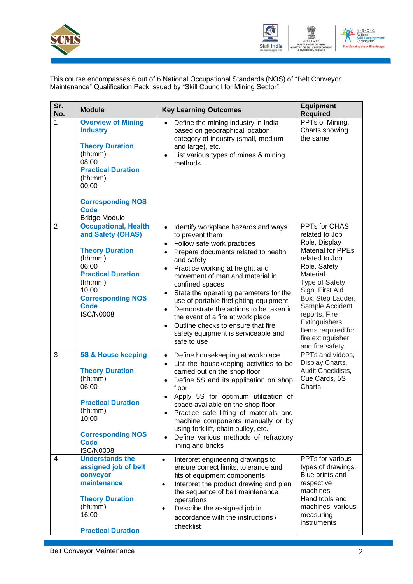



This course encompasses 6 out of 6 National Occupational Standards (NOS) of "Belt Conveyor Maintenance" Qualification Pack issued by "Skill Council for Mining Sector".

| Sr.<br>No.     | <b>Module</b>                                                                                                                                                                                                  | <b>Key Learning Outcomes</b>                                                                                                                                                                                                                                                                                                                                                                                                                                                                                                | <b>Equipment</b><br><b>Required</b>                                                                                                                                                                                                                                                                       |
|----------------|----------------------------------------------------------------------------------------------------------------------------------------------------------------------------------------------------------------|-----------------------------------------------------------------------------------------------------------------------------------------------------------------------------------------------------------------------------------------------------------------------------------------------------------------------------------------------------------------------------------------------------------------------------------------------------------------------------------------------------------------------------|-----------------------------------------------------------------------------------------------------------------------------------------------------------------------------------------------------------------------------------------------------------------------------------------------------------|
| 1              | <b>Overview of Mining</b><br><b>Industry</b><br><b>Theory Duration</b><br>(hh:mm)<br>08:00<br><b>Practical Duration</b><br>(hh:mm)<br>00:00<br><b>Corresponding NOS</b><br><b>Code</b><br><b>Bridge Module</b> | Define the mining industry in India<br>$\bullet$<br>based on geographical location,<br>category of industry (small, medium<br>and large), etc.<br>List various types of mines & mining<br>methods.                                                                                                                                                                                                                                                                                                                          | PPTs of Mining,<br>Charts showing<br>the same                                                                                                                                                                                                                                                             |
| $\overline{2}$ | <b>Occupational, Health</b><br>and Safety (OHAS)<br><b>Theory Duration</b><br>(hh:mm)<br>06:00<br><b>Practical Duration</b><br>(hh:mm)<br>10:00<br><b>Corresponding NOS</b><br><b>Code</b><br><b>ISC/N0008</b> | Identify workplace hazards and ways<br>$\bullet$<br>to prevent them<br>Follow safe work practices<br>$\bullet$<br>Prepare documents related to health<br>and safety<br>Practice working at height, and<br>movement of man and material in<br>confined spaces<br>State the operating parameters for the<br>use of portable firefighting equipment<br>Demonstrate the actions to be taken in<br>the event of a fire at work place<br>Outline checks to ensure that fire<br>safety equipment is serviceable and<br>safe to use | PPTs for OHAS<br>related to Job<br>Role, Display<br><b>Material for PPEs</b><br>related to Job<br>Role, Safety<br>Material.<br>Type of Safety<br>Sign, First Aid<br>Box, Step Ladder,<br>Sample Accident<br>reports, Fire<br>Extinguishers,<br>Items required for<br>fire extinguisher<br>and fire safety |
| 3              | 5S & House keeping<br><b>Theory Duration</b><br>(hh:mm)<br>06:00<br><b>Practical Duration</b><br>(hh:mm)<br>10:00<br><b>Corresponding NOS</b><br><b>Code</b><br><b>ISC/N0008</b>                               | Define housekeeping at workplace<br>List the housekeeping activities to be<br>carried out on the shop floor<br>Define 5S and its application on shop<br>floor<br>Apply 5S for optimum utilization of<br>space available on the shop floor<br>Practice safe lifting of materials and<br>machine components manually or by<br>using fork lift, chain pulley, etc.<br>Define various methods of refractory<br>$\bullet$<br>lining and bricks                                                                                   | PPTs and videos,<br>Display Charts,<br>Audit Checklists,<br>Cue Cards, 5S<br>Charts                                                                                                                                                                                                                       |
| 4              | <b>Understands the</b><br>assigned job of belt<br>conveyor<br>maintenance<br><b>Theory Duration</b><br>(hh:mm)<br>16:00<br><b>Practical Duration</b>                                                           | Interpret engineering drawings to<br>$\bullet$<br>ensure correct limits, tolerance and<br>fits of equipment components<br>Interpret the product drawing and plan<br>$\bullet$<br>the sequence of belt maintenance<br>operations<br>Describe the assigned job in<br>$\bullet$<br>accordance with the instructions /<br>checklist                                                                                                                                                                                             | PPTs for various<br>types of drawings,<br>Blue prints and<br>respective<br>machines<br>Hand tools and<br>machines, various<br>measuring<br>instruments                                                                                                                                                    |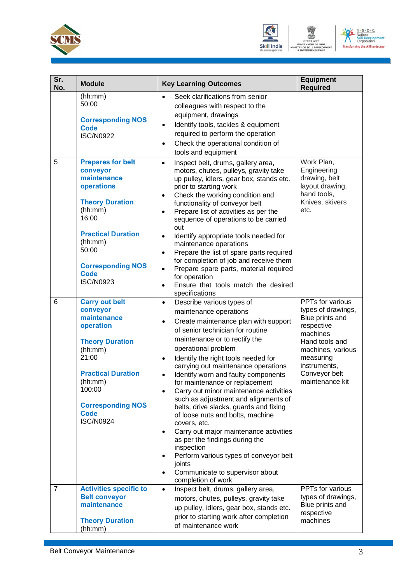



| Sr.<br>No. | <b>Module</b>                                                                                                                                                                                                            | <b>Key Learning Outcomes</b>                                                                                                                                                                                                                                                                                                                                                                                                                                                                                                                                                                                                                                                                                                                                                                                        | <b>Equipment</b><br><b>Required</b>                                                                                                                                                         |
|------------|--------------------------------------------------------------------------------------------------------------------------------------------------------------------------------------------------------------------------|---------------------------------------------------------------------------------------------------------------------------------------------------------------------------------------------------------------------------------------------------------------------------------------------------------------------------------------------------------------------------------------------------------------------------------------------------------------------------------------------------------------------------------------------------------------------------------------------------------------------------------------------------------------------------------------------------------------------------------------------------------------------------------------------------------------------|---------------------------------------------------------------------------------------------------------------------------------------------------------------------------------------------|
|            | (hh:mm)<br>50:00<br><b>Corresponding NOS</b><br><b>Code</b><br><b>ISC/N0922</b>                                                                                                                                          | Seek clarifications from senior<br>$\bullet$<br>colleagues with respect to the<br>equipment, drawings<br>Identify tools, tackles & equipment<br>$\bullet$<br>required to perform the operation<br>Check the operational condition of<br>$\bullet$<br>tools and equipment                                                                                                                                                                                                                                                                                                                                                                                                                                                                                                                                            |                                                                                                                                                                                             |
| 5          | <b>Prepares for belt</b><br>conveyor<br>maintenance<br>operations<br><b>Theory Duration</b><br>(hh:mm)<br>16:00<br><b>Practical Duration</b><br>(hh:mm)<br>50:00<br><b>Corresponding NOS</b><br>Code<br><b>ISC/N0923</b> | Inspect belt, drums, gallery area,<br>$\bullet$<br>motors, chutes, pulleys, gravity take<br>up pulley, idlers, gear box, stands etc.<br>prior to starting work<br>Check the working condition and<br>$\bullet$<br>functionality of conveyor belt<br>Prepare list of activities as per the<br>$\bullet$<br>sequence of operations to be carried<br>out<br>Identify appropriate tools needed for<br>$\bullet$<br>maintenance operations<br>Prepare the list of spare parts required<br>$\bullet$<br>for completion of job and receive them<br>Prepare spare parts, material required<br>$\bullet$<br>for operation<br>Ensure that tools match the desired<br>$\bullet$<br>specifications                                                                                                                              | Work Plan,<br>Engineering<br>drawing, belt<br>layout drawing,<br>hand tools,<br>Knives, skivers<br>etc.                                                                                     |
| 6          | <b>Carry out belt</b><br>conveyor<br>maintenance<br>operation<br><b>Theory Duration</b><br>(hh:mm)<br>21:00<br><b>Practical Duration</b><br>(hh:mm)<br>100:00<br><b>Corresponding NOS</b><br>Code<br><b>ISC/N0924</b>    | Describe various types of<br>$\bullet$<br>maintenance operations<br>Create maintenance plan with support<br>$\bullet$<br>of senior technician for routine<br>maintenance or to rectify the<br>operational problem<br>Identify the right tools needed for<br>$\bullet$<br>carrying out maintenance operations<br>Identify worn and faulty components<br>for maintenance or replacement<br>Carry out minor maintenance activities<br>such as adjustment and alignments of<br>belts, drive slacks, guards and fixing<br>of loose nuts and bolts, machine<br>covers, etc.<br>Carry out major maintenance activities<br>$\bullet$<br>as per the findings during the<br>inspection<br>Perform various types of conveyor belt<br>$\bullet$<br>joints<br>Communicate to supervisor about<br>$\bullet$<br>completion of work | PPTs for various<br>types of drawings,<br>Blue prints and<br>respective<br>machines<br>Hand tools and<br>machines, various<br>measuring<br>instruments,<br>Conveyor belt<br>maintenance kit |
| 7          | <b>Activities specific to</b><br><b>Belt conveyor</b><br>maintenance<br><b>Theory Duration</b><br>(hh:mm)                                                                                                                | Inspect belt, drums, gallery area,<br>$\bullet$<br>motors, chutes, pulleys, gravity take<br>up pulley, idlers, gear box, stands etc.<br>prior to starting work after completion<br>of maintenance work                                                                                                                                                                                                                                                                                                                                                                                                                                                                                                                                                                                                              | PPTs for various<br>types of drawings,<br>Blue prints and<br>respective<br>machines                                                                                                         |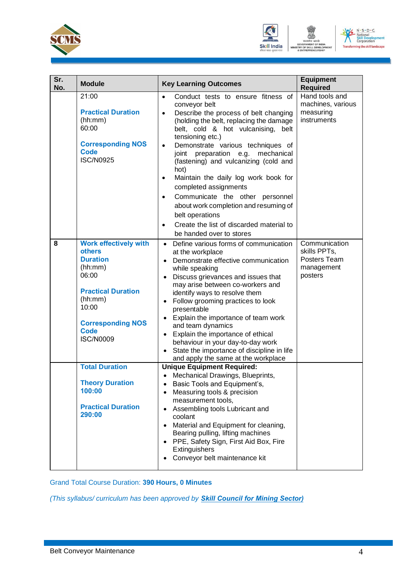



| Sr.<br>No. | <b>Module</b>                                                                                                                                                                                        | <b>Key Learning Outcomes</b>                                                                                                                                                                                                                                                                                                                                                                                                                                                                                                                                                                                                                             | <b>Equipment</b><br><b>Required</b>                                    |
|------------|------------------------------------------------------------------------------------------------------------------------------------------------------------------------------------------------------|----------------------------------------------------------------------------------------------------------------------------------------------------------------------------------------------------------------------------------------------------------------------------------------------------------------------------------------------------------------------------------------------------------------------------------------------------------------------------------------------------------------------------------------------------------------------------------------------------------------------------------------------------------|------------------------------------------------------------------------|
|            | 21:00<br><b>Practical Duration</b><br>(hh:mm)<br>60:00<br><b>Corresponding NOS</b><br><b>Code</b><br><b>ISC/N0925</b>                                                                                | Conduct tests to ensure fitness of<br>$\bullet$<br>conveyor belt<br>Describe the process of belt changing<br>$\bullet$<br>(holding the belt, replacing the damage<br>belt, cold & hot vulcanising,<br>belt<br>tensioning etc.)<br>Demonstrate various techniques of<br>$\bullet$<br>preparation e.g. mechanical<br>joint<br>(fastening) and vulcanizing (cold and<br>hot)<br>Maintain the daily log work book for<br>$\bullet$<br>completed assignments<br>Communicate the other personnel<br>$\bullet$<br>about work completion and resuming of<br>belt operations<br>Create the list of discarded material to<br>$\bullet$<br>be handed over to stores | Hand tools and<br>machines, various<br>measuring<br>instruments        |
| 8          | <b>Work effectively with</b><br><b>others</b><br><b>Duration</b><br>(hh:mm)<br>06:00<br><b>Practical Duration</b><br>(hh:mm)<br>10:00<br><b>Corresponding NOS</b><br><b>Code</b><br><b>ISC/N0009</b> | Define various forms of communication<br>$\bullet$<br>at the workplace<br>Demonstrate effective communication<br>$\bullet$<br>while speaking<br>Discuss grievances and issues that<br>may arise between co-workers and<br>identify ways to resolve them<br>Follow grooming practices to look<br>$\bullet$<br>presentable<br>Explain the importance of team work<br>and team dynamics<br>Explain the importance of ethical<br>$\bullet$<br>behaviour in your day-to-day work<br>State the importance of discipline in life<br>and apply the same at the workplace                                                                                         | Communication<br>skills PPTs,<br>Posters Team<br>management<br>posters |
|            | <b>Total Duration</b><br><b>Theory Duration</b><br>100:00<br><b>Practical Duration</b><br>290:00                                                                                                     | <b>Unique Equipment Required:</b><br>Mechanical Drawings, Blueprints,<br>Basic Tools and Equipment's,<br>Measuring tools & precision<br>measurement tools,<br>Assembling tools Lubricant and<br>coolant<br>Material and Equipment for cleaning,<br>$\bullet$<br>Bearing pulling, lifting machines<br>PPE, Safety Sign, First Aid Box, Fire<br>$\bullet$<br>Extinguishers<br>Conveyor belt maintenance kit<br>$\bullet$                                                                                                                                                                                                                                   |                                                                        |

Grand Total Course Duration: **390 Hours, 0 Minutes**

*(This syllabus/ curriculum has been approved by Skill Council for Mining Sector)*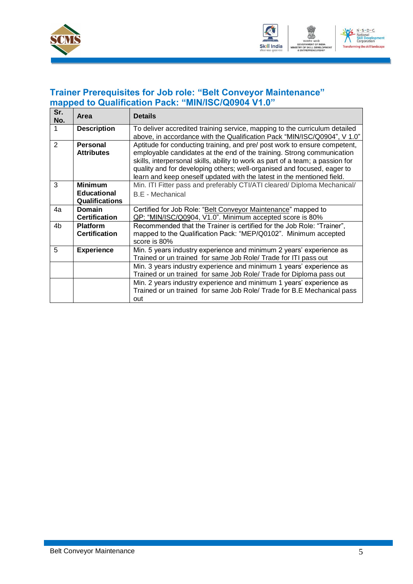



### <span id="page-7-0"></span>**Trainer Prerequisites for Job role: "Belt Conveyor Maintenance" mapped to Qualification Pack: "MIN/ISC/Q0904 V1.0"**

| Sr.<br>No. | Area                                                          | <b>Details</b>                                                                                                                                                                                                                                                                                                                                                                             |
|------------|---------------------------------------------------------------|--------------------------------------------------------------------------------------------------------------------------------------------------------------------------------------------------------------------------------------------------------------------------------------------------------------------------------------------------------------------------------------------|
|            | <b>Description</b>                                            | To deliver accredited training service, mapping to the curriculum detailed<br>above, in accordance with the Qualification Pack "MIN/ISC/Q0904", V 1.0"                                                                                                                                                                                                                                     |
| 2          | <b>Personal</b><br><b>Attributes</b>                          | Aptitude for conducting training, and pre/ post work to ensure competent,<br>employable candidates at the end of the training. Strong communication<br>skills, interpersonal skills, ability to work as part of a team; a passion for<br>quality and for developing others; well-organised and focused, eager to<br>learn and keep oneself updated with the latest in the mentioned field. |
| 3          | <b>Minimum</b><br><b>Educational</b><br><b>Qualifications</b> | Min. ITI Fitter pass and preferably CTI/ATI cleared/ Diploma Mechanical/<br><b>B.E</b> - Mechanical                                                                                                                                                                                                                                                                                        |
| 4a         | Domain<br><b>Certification</b>                                | Certified for Job Role: "Belt Conveyor Maintenance" mapped to<br>QP: "MIN/ISC/Q0904, V1.0". Minimum accepted score is 80%                                                                                                                                                                                                                                                                  |
| 4b         | <b>Platform</b><br><b>Certification</b>                       | Recommended that the Trainer is certified for the Job Role: "Trainer",<br>mapped to the Qualification Pack: "MEP/Q0102". Minimum accepted<br>score is 80%                                                                                                                                                                                                                                  |
| 5          | <b>Experience</b>                                             | Min. 5 years industry experience and minimum 2 years' experience as<br>Trained or un trained for same Job Role/ Trade for ITI pass out                                                                                                                                                                                                                                                     |
|            |                                                               | Min. 3 years industry experience and minimum 1 years' experience as<br>Trained or un trained for same Job Role/ Trade for Diploma pass out                                                                                                                                                                                                                                                 |
|            |                                                               | Min. 2 years industry experience and minimum 1 years' experience as<br>Trained or un trained for same Job Role/ Trade for B.E Mechanical pass<br>out                                                                                                                                                                                                                                       |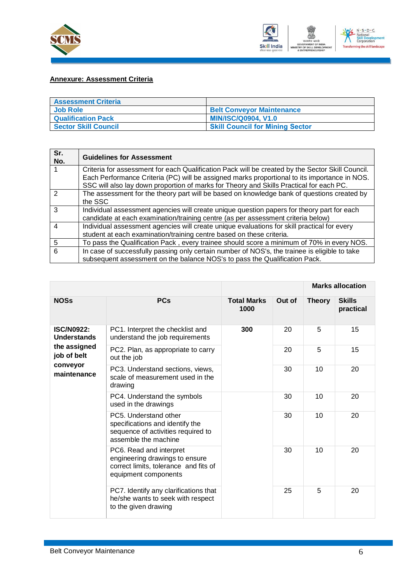



#### <span id="page-8-0"></span>**Annexure: Assessment Criteria**

| <b>Assessment Criteria</b>  |                                        |
|-----------------------------|----------------------------------------|
| <b>Job Role</b>             | <b>Belt Conveyor Maintenance</b>       |
| <b>Qualification Pack</b>   | <b>MIN/ISC/Q0904, V1.0</b>             |
| <b>Sector Skill Council</b> | <b>Skill Council for Mining Sector</b> |

| Sr.<br>No. | <b>Guidelines for Assessment</b>                                                                                                                                                                                                                                                            |
|------------|---------------------------------------------------------------------------------------------------------------------------------------------------------------------------------------------------------------------------------------------------------------------------------------------|
|            | Criteria for assessment for each Qualification Pack will be created by the Sector Skill Council.<br>Each Performance Criteria (PC) will be assigned marks proportional to its importance in NOS.<br>SSC will also lay down proportion of marks for Theory and Skills Practical for each PC. |
| 2          | The assessment for the theory part will be based on knowledge bank of questions created by<br>the SSC                                                                                                                                                                                       |
| 3          | Individual assessment agencies will create unique question papers for theory part for each<br>candidate at each examination/training centre (as per assessment criteria below)                                                                                                              |
| 4          | Individual assessment agencies will create unique evaluations for skill practical for every<br>student at each examination/training centre based on these criteria.                                                                                                                         |
| 5          | To pass the Qualification Pack, every trainee should score a minimum of 70% in every NOS.                                                                                                                                                                                                   |
| 6          | In case of successfully passing only certain number of NOS's, the trainee is eligible to take<br>subsequent assessment on the balance NOS's to pass the Qualification Pack.                                                                                                                 |

|                                         |                                                                                                                            |                            |        |               | <b>Marks allocation</b>    |
|-----------------------------------------|----------------------------------------------------------------------------------------------------------------------------|----------------------------|--------|---------------|----------------------------|
| <b>NOSs</b>                             | <b>PCs</b>                                                                                                                 | <b>Total Marks</b><br>1000 | Out of | <b>Theory</b> | <b>Skills</b><br>practical |
| <b>ISC/N0922:</b><br><b>Understands</b> | PC1. Interpret the checklist and<br>understand the job requirements                                                        | 300                        | 20     | 5             | 15                         |
| the assigned<br>job of belt             | PC2. Plan, as appropriate to carry<br>out the job                                                                          |                            | 20     | 5             | 15                         |
| conveyor<br>maintenance                 | PC3. Understand sections, views,<br>scale of measurement used in the<br>drawing                                            |                            | 30     | 10            | 20                         |
|                                         | PC4. Understand the symbols<br>used in the drawings                                                                        |                            | 30     | 10            | 20                         |
|                                         | PC5. Understand other<br>specifications and identify the<br>sequence of activities required to<br>assemble the machine     |                            | 30     | 10            | 20                         |
|                                         | PC6. Read and interpret<br>engineering drawings to ensure<br>correct limits, tolerance and fits of<br>equipment components |                            | 30     | 10            | 20                         |
|                                         | PC7. Identify any clarifications that<br>he/she wants to seek with respect<br>to the given drawing                         |                            | 25     | 5             | 20                         |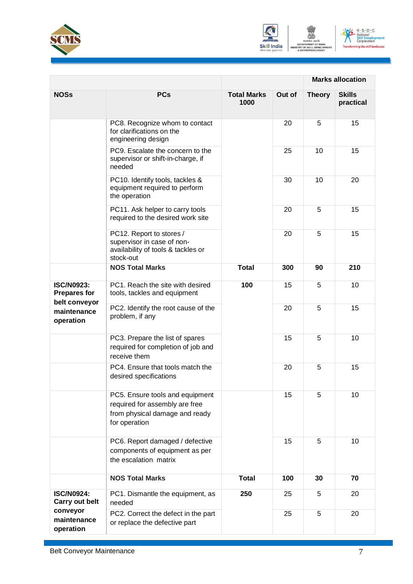





|                                                           |                                                                                                                      |                            |        | <b>Marks allocation</b> |                            |
|-----------------------------------------------------------|----------------------------------------------------------------------------------------------------------------------|----------------------------|--------|-------------------------|----------------------------|
| <b>NOSs</b>                                               | <b>PCs</b>                                                                                                           | <b>Total Marks</b><br>1000 | Out of | <b>Theory</b>           | <b>Skills</b><br>practical |
|                                                           | PC8. Recognize whom to contact<br>for clarifications on the<br>engineering design                                    |                            | 20     | 5                       | 15                         |
|                                                           | PC9. Escalate the concern to the<br>supervisor or shift-in-charge, if<br>needed                                      |                            | 25     | 10                      | 15                         |
|                                                           | PC10. Identify tools, tackles &<br>equipment required to perform<br>the operation                                    |                            | 30     | 10                      | 20                         |
|                                                           | PC11. Ask helper to carry tools<br>required to the desired work site                                                 |                            | 20     | 5                       | 15                         |
|                                                           | PC12. Report to stores /<br>supervisor in case of non-<br>availability of tools & tackles or<br>stock-out            |                            | 20     | 5                       | 15                         |
|                                                           | <b>NOS Total Marks</b>                                                                                               | <b>Total</b>               | 300    | 90                      | 210                        |
| <b>ISC/N0923:</b><br><b>Prepares for</b><br>belt conveyor | PC1. Reach the site with desired<br>tools, tackles and equipment                                                     | 100                        | 15     | 5                       | 10                         |
| maintenance<br>operation                                  | PC2. Identify the root cause of the<br>problem, if any                                                               |                            | 20     | 5                       | 15                         |
|                                                           | PC3. Prepare the list of spares<br>required for completion of job and<br>receive them                                |                            | 15     | 5                       | 10                         |
|                                                           | PC4. Ensure that tools match the<br>desired specifications                                                           |                            | 20     | 5                       | 15                         |
|                                                           | PC5. Ensure tools and equipment<br>required for assembly are free<br>from physical damage and ready<br>for operation |                            | 15     | 5                       | 10                         |
|                                                           | PC6. Report damaged / defective<br>components of equipment as per<br>the escalation matrix                           |                            | 15     | 5                       | 10                         |
|                                                           | <b>NOS Total Marks</b>                                                                                               | <b>Total</b>               | 100    | 30                      | 70                         |
| <b>ISC/N0924:</b><br>Carry out belt                       | PC1. Dismantle the equipment, as<br>needed                                                                           | 250                        | 25     | 5                       | 20                         |
| conveyor<br>maintenance<br>operation                      | PC2. Correct the defect in the part<br>or replace the defective part                                                 |                            | 25     | 5                       | 20                         |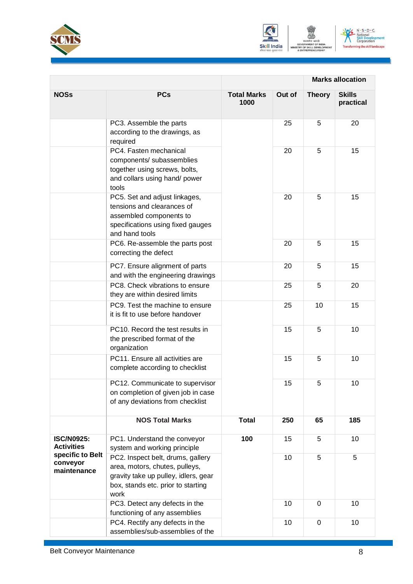





|                                             | <b>Marks allocation</b>                                                                                                                                   |                            |        |               |                            |
|---------------------------------------------|-----------------------------------------------------------------------------------------------------------------------------------------------------------|----------------------------|--------|---------------|----------------------------|
| <b>NOSs</b>                                 | <b>PCs</b>                                                                                                                                                | <b>Total Marks</b><br>1000 | Out of | <b>Theory</b> | <b>Skills</b><br>practical |
|                                             | PC3. Assemble the parts<br>according to the drawings, as<br>required                                                                                      |                            | 25     | 5             | 20                         |
|                                             | PC4. Fasten mechanical<br>components/ subassemblies<br>together using screws, bolts,<br>and collars using hand/ power<br>tools                            |                            | 20     | 5             | 15                         |
|                                             | PC5. Set and adjust linkages,<br>tensions and clearances of<br>assembled components to<br>specifications using fixed gauges<br>and hand tools             |                            | 20     | 5             | 15                         |
|                                             | PC6. Re-assemble the parts post<br>correcting the defect                                                                                                  |                            | 20     | 5             | 15                         |
|                                             | PC7. Ensure alignment of parts<br>and with the engineering drawings                                                                                       |                            | 20     | 5             | 15                         |
|                                             | PC8. Check vibrations to ensure<br>they are within desired limits                                                                                         |                            | 25     | 5             | 20                         |
|                                             | PC9. Test the machine to ensure<br>it is fit to use before handover                                                                                       |                            | 25     | 10            | 15                         |
|                                             | PC10. Record the test results in<br>the prescribed format of the<br>organization                                                                          |                            | 15     | 5             | 10                         |
|                                             | PC11. Ensure all activities are<br>complete according to checklist                                                                                        |                            | 15     | 5             | 10                         |
|                                             | PC12. Communicate to supervisor<br>on completion of given job in case<br>of any deviations from checklist                                                 |                            | 15     | 5             | 10                         |
|                                             | <b>NOS Total Marks</b>                                                                                                                                    | <b>Total</b>               | 250    | 65            | 185                        |
| <b>ISC/N0925:</b><br><b>Activities</b>      | PC1. Understand the conveyor<br>system and working principle                                                                                              | 100                        | 15     | 5             | 10                         |
| specific to Belt<br>conveyor<br>maintenance | PC2. Inspect belt, drums, gallery<br>area, motors, chutes, pulleys,<br>gravity take up pulley, idlers, gear<br>box, stands etc. prior to starting<br>work |                            | 10     | 5             | 5                          |
|                                             | PC3. Detect any defects in the<br>functioning of any assemblies                                                                                           |                            | 10     | 0             | 10                         |
|                                             | PC4. Rectify any defects in the<br>assemblies/sub-assemblies of the                                                                                       |                            | 10     | $\mathbf 0$   | 10                         |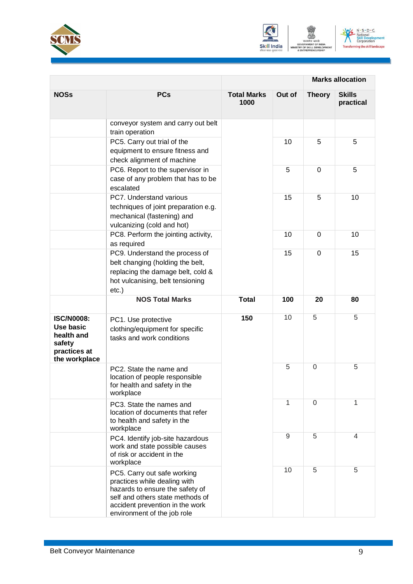





|                                                                                         |                                                                                                                                                                                                      |                            |        |                | <b>Marks allocation</b>    |
|-----------------------------------------------------------------------------------------|------------------------------------------------------------------------------------------------------------------------------------------------------------------------------------------------------|----------------------------|--------|----------------|----------------------------|
| <b>NOSs</b>                                                                             | <b>PCs</b>                                                                                                                                                                                           | <b>Total Marks</b><br>1000 | Out of | <b>Theory</b>  | <b>Skills</b><br>practical |
|                                                                                         | conveyor system and carry out belt<br>train operation                                                                                                                                                |                            |        |                |                            |
|                                                                                         | PC5. Carry out trial of the<br>equipment to ensure fitness and<br>check alignment of machine                                                                                                         |                            | 10     | 5              | 5                          |
|                                                                                         | PC6. Report to the supervisor in<br>case of any problem that has to be<br>escalated                                                                                                                  |                            | 5      | $\Omega$       | 5                          |
|                                                                                         | PC7. Understand various<br>techniques of joint preparation e.g.<br>mechanical (fastening) and<br>vulcanizing (cold and hot)                                                                          |                            | 15     | 5              | 10                         |
|                                                                                         | PC8. Perform the jointing activity,<br>as required                                                                                                                                                   |                            | 10     | $\Omega$       | 10                         |
|                                                                                         | PC9. Understand the process of<br>belt changing (holding the belt,<br>replacing the damage belt, cold &<br>hot vulcanising, belt tensioning<br>$etc.$ )                                              |                            | 15     | $\mathbf 0$    | 15                         |
|                                                                                         | <b>NOS Total Marks</b>                                                                                                                                                                               | <b>Total</b>               | 100    | 20             | 80                         |
| <b>ISC/N0008:</b><br>Use basic<br>health and<br>safety<br>practices at<br>the workplace | PC1. Use protective<br>clothing/equipment for specific<br>tasks and work conditions                                                                                                                  | 150                        | 10     | 5              | 5                          |
|                                                                                         | PC2. State the name and<br>location of people responsible<br>for health and safety in the<br>workplace                                                                                               |                            | 5      | $\overline{0}$ | 5                          |
|                                                                                         | PC3. State the names and<br>location of documents that refer<br>to health and safety in the<br>workplace                                                                                             |                            | 1      | $\overline{0}$ | 1                          |
|                                                                                         | PC4. Identify job-site hazardous<br>work and state possible causes<br>of risk or accident in the<br>workplace                                                                                        |                            | 9      | 5              | 4                          |
|                                                                                         | PC5. Carry out safe working<br>practices while dealing with<br>hazards to ensure the safety of<br>self and others state methods of<br>accident prevention in the work<br>environment of the job role |                            | 10     | 5              | 5                          |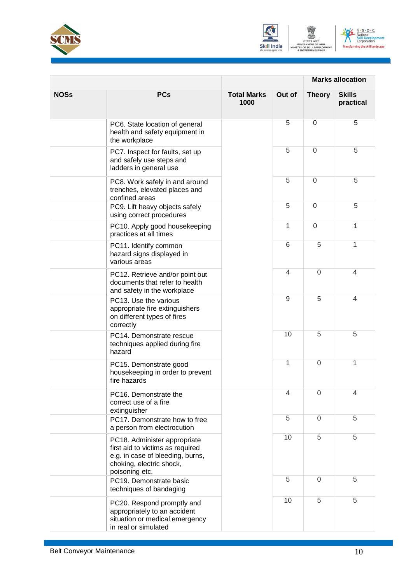





|             |                                                                                                                                                    | <b>Marks allocation</b>    |                |                |                            |
|-------------|----------------------------------------------------------------------------------------------------------------------------------------------------|----------------------------|----------------|----------------|----------------------------|
| <b>NOSs</b> | <b>PCs</b>                                                                                                                                         | <b>Total Marks</b><br>1000 | Out of         | <b>Theory</b>  | <b>Skills</b><br>practical |
|             | PC6. State location of general<br>health and safety equipment in<br>the workplace                                                                  |                            | 5              | $\mathbf 0$    | 5                          |
|             | PC7. Inspect for faults, set up<br>and safely use steps and<br>ladders in general use                                                              |                            | 5              | $\overline{0}$ | 5                          |
|             | PC8. Work safely in and around<br>trenches, elevated places and<br>confined areas                                                                  |                            | 5              | $\mathbf 0$    | 5                          |
|             | PC9. Lift heavy objects safely<br>using correct procedures                                                                                         |                            | 5              | $\mathbf 0$    | 5                          |
|             | PC10. Apply good housekeeping<br>practices at all times                                                                                            |                            | 1              | $\overline{0}$ | 1                          |
|             | PC11. Identify common<br>hazard signs displayed in<br>various areas                                                                                |                            | 6              | 5              | 1                          |
|             | PC12. Retrieve and/or point out<br>documents that refer to health<br>and safety in the workplace                                                   |                            | $\overline{4}$ | $\mathbf 0$    | $\overline{4}$             |
|             | PC13. Use the various<br>appropriate fire extinguishers<br>on different types of fires<br>correctly                                                |                            | 9              | 5              | 4                          |
|             | PC14. Demonstrate rescue<br>techniques applied during fire<br>hazard                                                                               |                            | 10             | 5              | 5                          |
|             | PC15. Demonstrate good<br>housekeeping in order to prevent<br>fire hazards                                                                         |                            | 1              | $\mathbf 0$    | 1                          |
|             | PC16. Demonstrate the<br>correct use of a fire<br>extinguisher                                                                                     |                            | 4              | $\Omega$       | 4                          |
|             | PC17. Demonstrate how to free<br>a person from electrocution                                                                                       |                            | 5              | $\mathbf 0$    | 5                          |
|             | PC18. Administer appropriate<br>first aid to victims as required<br>e.g. in case of bleeding, burns,<br>choking, electric shock,<br>poisoning etc. |                            | 10             | 5              | 5                          |
|             | PC19. Demonstrate basic<br>techniques of bandaging                                                                                                 |                            | 5              | $\Omega$       | 5                          |
|             | PC20. Respond promptly and<br>appropriately to an accident<br>situation or medical emergency<br>in real or simulated                               |                            | 10             | 5              | 5                          |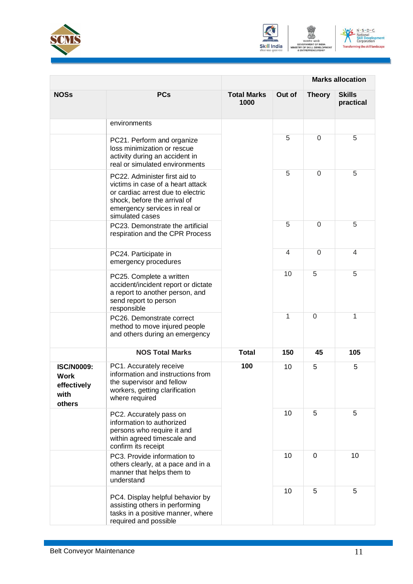





|                                                                   |                                                                                                                                                                                             | <b>Marks allocation</b>    |                |                |                            |
|-------------------------------------------------------------------|---------------------------------------------------------------------------------------------------------------------------------------------------------------------------------------------|----------------------------|----------------|----------------|----------------------------|
| <b>NOSs</b>                                                       | <b>PCs</b>                                                                                                                                                                                  | <b>Total Marks</b><br>1000 | Out of         | <b>Theory</b>  | <b>Skills</b><br>practical |
|                                                                   | environments                                                                                                                                                                                |                            |                |                |                            |
|                                                                   | PC21. Perform and organize<br>loss minimization or rescue<br>activity during an accident in<br>real or simulated environments                                                               |                            | 5              | $\Omega$       | 5                          |
|                                                                   | PC22. Administer first aid to<br>victims in case of a heart attack<br>or cardiac arrest due to electric<br>shock, before the arrival of<br>emergency services in real or<br>simulated cases |                            | 5              | $\Omega$       | 5                          |
|                                                                   | PC23. Demonstrate the artificial<br>respiration and the CPR Process                                                                                                                         |                            | 5              | $\Omega$       | 5                          |
|                                                                   | PC24. Participate in<br>emergency procedures                                                                                                                                                |                            | $\overline{4}$ | $\Omega$       | 4                          |
|                                                                   | PC25. Complete a written<br>accident/incident report or dictate<br>a report to another person, and<br>send report to person<br>responsible                                                  |                            | 10             | 5              | 5                          |
|                                                                   | PC26. Demonstrate correct<br>method to move injured people<br>and others during an emergency                                                                                                |                            | 1              | $\overline{0}$ | 1                          |
|                                                                   | <b>NOS Total Marks</b>                                                                                                                                                                      | <b>Total</b>               | 150            | 45             | 105                        |
| <b>ISC/N0009:</b><br><b>Work</b><br>effectively<br>with<br>others | PC1. Accurately receive<br>information and instructions from<br>the supervisor and fellow<br>workers, getting clarification<br>where required                                               | 100                        | 10             | 5              | 5                          |
|                                                                   | PC2. Accurately pass on<br>information to authorized<br>persons who require it and<br>within agreed timescale and<br>confirm its receipt                                                    |                            | 10             | 5              | 5                          |
|                                                                   | PC3. Provide information to<br>others clearly, at a pace and in a<br>manner that helps them to<br>understand                                                                                |                            | 10             | $\mathbf 0$    | 10                         |
|                                                                   | PC4. Display helpful behavior by<br>assisting others in performing<br>tasks in a positive manner, where<br>required and possible                                                            |                            | 10             | 5              | 5                          |